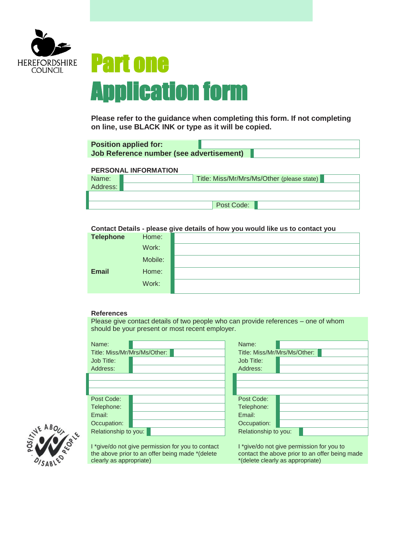

## Part one Application form

**Please refer to the guidance when completing this form. If not completing on line, use BLACK INK or type as it will be copied.**

| <b>Position applied for:</b>             |  |  |
|------------------------------------------|--|--|
| Job Reference number (see advertisement) |  |  |

## **PERSONAL INFORMATION**

| Name:    | Title: Miss/Mr/Mrs/Ms/Other (please state) |
|----------|--------------------------------------------|
| Address: |                                            |
|          |                                            |
|          | Post Code:                                 |

## **Contact Details - please give details of how you would like us to contact you**

| <b>Telephone</b> | Home:   |  |
|------------------|---------|--|
|                  | Work:   |  |
|                  | Mobile: |  |
| <b>Email</b>     | Home:   |  |
|                  | Work:   |  |

## **References**

Please give contact details of two people who can provide references – one of whom should be your present or most recent employer.

| Name:<br>Job Title:<br>Address:     | Title: Miss/Mr/Mrs/Ms/Other:                                                                         | Name:<br>Title: Miss/Mr/Mrs/Ms/Other:<br>Job Title:<br>Address: |                                                                                                                                 |
|-------------------------------------|------------------------------------------------------------------------------------------------------|-----------------------------------------------------------------|---------------------------------------------------------------------------------------------------------------------------------|
| Post Code:                          |                                                                                                      | Post Code:                                                      |                                                                                                                                 |
| Telephone:<br>Email:                |                                                                                                      | Telephone:<br>Email:                                            |                                                                                                                                 |
| Occupation:<br>Relationship to you: |                                                                                                      | Occupation:<br>Relationship to you:                             |                                                                                                                                 |
| clearly as appropriate)             | I *give/do not give permission for you to contact<br>the above prior to an offer being made *(delete |                                                                 | I *give/do not give permission for you to<br>contact the above prior to an offer being made<br>*(delete clearly as appropriate) |

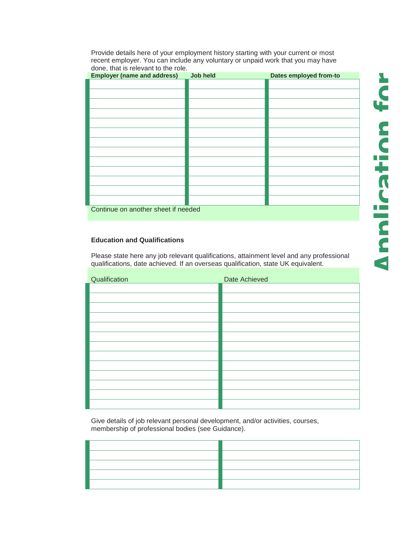Provide details here of your employment history starting with your current or most recent employer. You can include any voluntary or unpaid work that you may have done, that is relevant to the role.

| <b>Employer (name and address)</b>  | Job held | Dates employed from-to |
|-------------------------------------|----------|------------------------|
|                                     |          |                        |
|                                     |          |                        |
|                                     |          |                        |
|                                     |          |                        |
|                                     |          |                        |
|                                     |          |                        |
|                                     |          |                        |
|                                     |          |                        |
|                                     |          |                        |
|                                     |          |                        |
|                                     |          |                        |
|                                     |          |                        |
|                                     |          |                        |
| Continue on another sheet if needed |          |                        |

## **Education and Qualifications**

Please state here any job relevant qualifications, attainment level and any professional qualifications, date achieved. If an overseas qualification, state UK equivalent.

| Qualification | Date Achieved |
|---------------|---------------|
|               |               |
|               |               |
|               |               |
|               |               |
|               |               |
|               |               |
|               |               |
|               |               |
|               |               |
|               |               |
|               |               |
|               |               |
|               |               |

Give details of job relevant personal development, and/or activities, courses, membership of professional bodies (see Guidance).

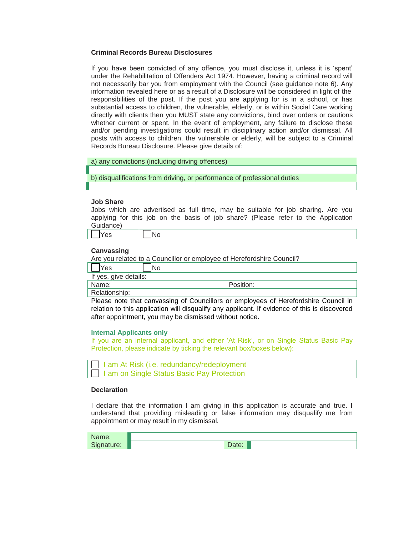## **Criminal Records Bureau Disclosures**

If you have been convicted of any offence, you must disclose it, unless it is 'spent' under the Rehabilitation of Offenders Act 1974. However, having a criminal record will not necessarily bar you from employment with the Council (see guidance note 6). Any information revealed here or as a result of a Disclosure will be considered in light of the responsibilities of the post. If the post you are applying for is in a school, or has substantial access to children, the vulnerable, elderly, or is within Social Care working directly with clients then you MUST state any convictions, bind over orders or cautions whether current or spent. In the event of employment, any failure to disclose these and/or pending investigations could result in disciplinary action and/or dismissal. All posts with access to children, the vulnerable or elderly, will be subject to a Criminal Records Bureau Disclosure. Please give details of:

a) any convictions (including driving offences)

b) disqualifications from driving, or performance of professional duties

## **Job Share**

Jobs which are advertised as full time, may be suitable for job sharing. Are you applying for this job on the basis of job share? (Please refer to the Application Guidance)

## **Canvassing**

Are you related to a Councillor or employee of Herefordshire Council?

| Yes                   | lNo       |
|-----------------------|-----------|
| If yes, give details: |           |
| Name:                 | Position: |
| Relationship:         |           |

Please note that canvassing of Councillors or employees of Herefordshire Council in relation to this application will disqualify any applicant. If evidence of this is discovered after appointment, you may be dismissed without notice.

#### **Internal Applicants only**

If you are an internal applicant, and either 'At Risk', or on Single Status Basic Pay Protection, please indicate by ticking the relevant box/boxes below):

| I am At Risk (i.e. redundancy/redeployment |
|--------------------------------------------|
| I am on Single Status Basic Pay Protection |

### **Declaration**

I declare that the information I am giving in this application is accurate and true. I understand that providing misleading or false information may disqualify me from appointment or may result in my dismissal.

| varne:            |      |
|-------------------|------|
| $\sim$<br>nature: | Daw. |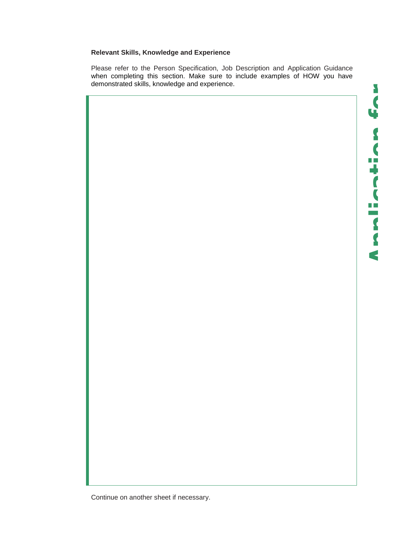## **Relevant Skills, Knowledge and Experience**

Please refer to the Person Specification, Job Description and Application Guidance when completing this section. Make sure to include examples of HOW you have demonstrated skills, knowledge and experience.

**Application for**

 $\Box$ 

C  $\Box$  $\mathcal{L}^{\text{max}}$  $\blacktriangleleft$ 

 $\mathbf{v}$  $\overline{\mathbf{C}}$ 



Continue on another sheet if necessary.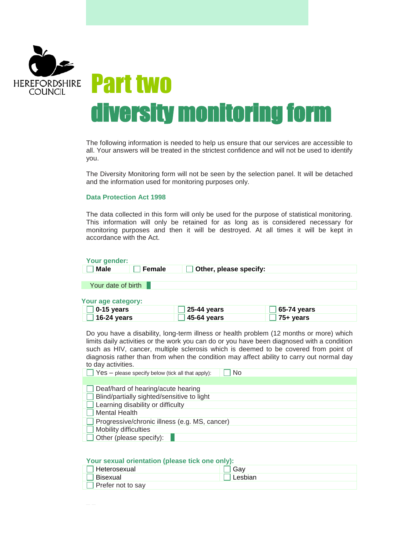

# diversity monitoring form

The following information is needed to help us ensure that our services are accessible to all. Your answers will be treated in the strictest confidence and will not be used to identify you.

The Diversity Monitoring form will not be seen by the selection panel. It will be detached and the information used for monitoring purposes only.

## **Data Protection Act 1998**

The data collected in this form will only be used for the purpose of statistical monitoring. This information will only be retained for as long as is considered necessary for monitoring purposes and then it will be destroyed. At all times it will be kept in accordance with the Act.

| Your gender:                                                                                                                                                                                                                                                                                                                                                                                                                                                |                        |             |
|-------------------------------------------------------------------------------------------------------------------------------------------------------------------------------------------------------------------------------------------------------------------------------------------------------------------------------------------------------------------------------------------------------------------------------------------------------------|------------------------|-------------|
| <b>Male</b><br><b>Female</b>                                                                                                                                                                                                                                                                                                                                                                                                                                | Other, please specify: |             |
|                                                                                                                                                                                                                                                                                                                                                                                                                                                             |                        |             |
| Your date of birth                                                                                                                                                                                                                                                                                                                                                                                                                                          |                        |             |
|                                                                                                                                                                                                                                                                                                                                                                                                                                                             |                        |             |
| Your age category:                                                                                                                                                                                                                                                                                                                                                                                                                                          |                        |             |
| 0-15 years                                                                                                                                                                                                                                                                                                                                                                                                                                                  | 25-44 years            | 65-74 years |
| 16-24 years                                                                                                                                                                                                                                                                                                                                                                                                                                                 | 45-64 years            | 75+ years   |
| Do you have a disability, long-term illness or health problem (12 months or more) which<br>limits daily activities or the work you can do or you have been diagnosed with a condition<br>such as HIV, cancer, multiple sclerosis which is deemed to be covered from point of<br>diagnosis rather than from when the condition may affect ability to carry out normal day<br>to day activities.<br>No<br>$Yes - please specify below (tick all that apply):$ |                        |             |
| Deaf/hard of hearing/acute hearing<br>Blind/partially sighted/sensitive to light                                                                                                                                                                                                                                                                                                                                                                            |                        |             |
| Learning disability or difficulty                                                                                                                                                                                                                                                                                                                                                                                                                           |                        |             |
| <b>Mental Health</b>                                                                                                                                                                                                                                                                                                                                                                                                                                        |                        |             |
| Progressive/chronic illness (e.g. MS, cancer)                                                                                                                                                                                                                                                                                                                                                                                                               |                        |             |
| Mobility difficulties                                                                                                                                                                                                                                                                                                                                                                                                                                       |                        |             |
| Other (please specify):                                                                                                                                                                                                                                                                                                                                                                                                                                     |                        |             |

## **Your sexual orientation (please tick one only):**

| ' Heterosexual    |         |
|-------------------|---------|
| ' Bisexual        | esbian. |
| Prefer not to say |         |